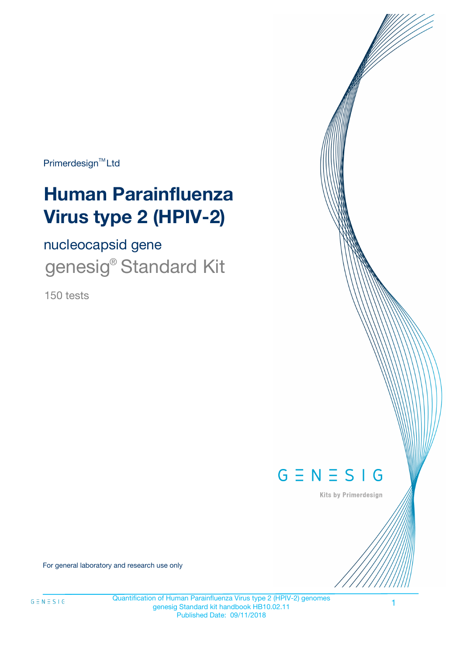Primerdesign<sup>™</sup>Ltd

# **Human Parainfluenza Virus type 2 (HPIV-2)**

nucleocapsid gene

genesig<sup>®</sup> Standard Kit

150 tests



Kits by Primerdesign

For general laboratory and research use only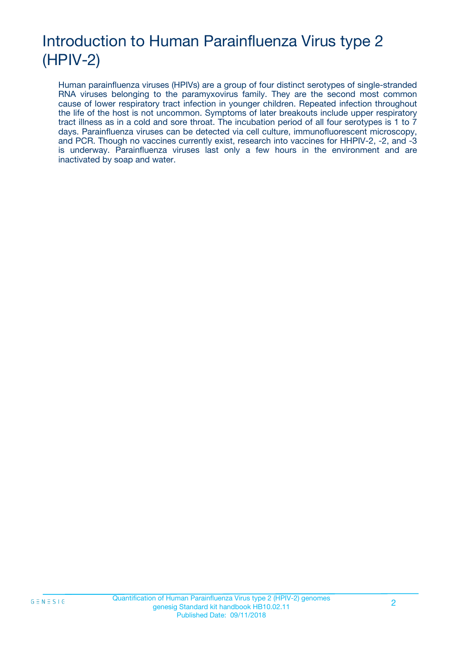## Introduction to Human Parainfluenza Virus type 2 (HPIV-2)

Human parainfluenza viruses (HPIVs) are a group of four distinct serotypes of single-stranded RNA viruses belonging to the paramyxovirus family. They are the second most common cause of lower respiratory tract infection in younger children. Repeated infection throughout the life of the host is not uncommon. Symptoms of later breakouts include upper respiratory tract illness as in a cold and sore throat. The incubation period of all four serotypes is 1 to 7 days. Parainfluenza viruses can be detected via cell culture, immunofluorescent microscopy, and PCR. Though no vaccines currently exist, research into vaccines for HHPIV-2, -2, and -3 is underway. Parainfluenza viruses last only a few hours in the environment and are inactivated by soap and water.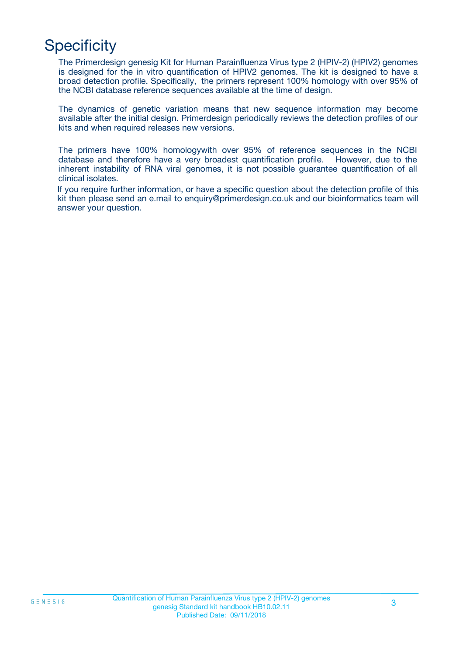## **Specificity**

The Primerdesign genesig Kit for Human Parainfluenza Virus type 2 (HPIV-2) (HPIV2) genomes is designed for the in vitro quantification of HPIV2 genomes. The kit is designed to have a broad detection profile. Specifically, the primers represent 100% homology with over 95% of the NCBI database reference sequences available at the time of design.

The dynamics of genetic variation means that new sequence information may become available after the initial design. Primerdesign periodically reviews the detection profiles of our kits and when required releases new versions.

The primers have 100% homologywith over 95% of reference sequences in the NCBI database and therefore have a very broadest quantification profile. However, due to the inherent instability of RNA viral genomes, it is not possible guarantee quantification of all clinical isolates.

If you require further information, or have a specific question about the detection profile of this kit then please send an e.mail to enquiry@primerdesign.co.uk and our bioinformatics team will answer your question.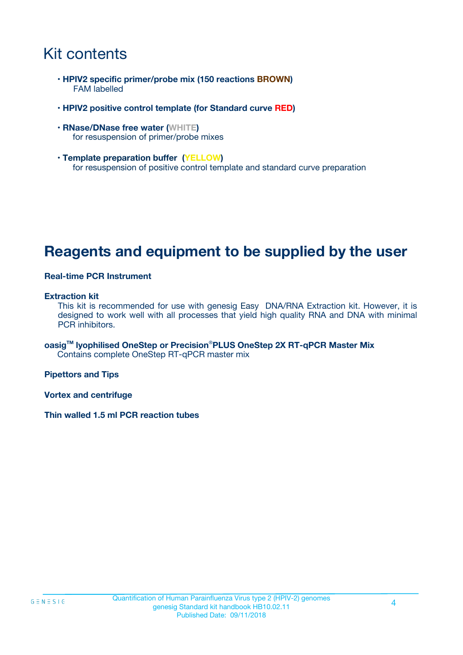### Kit contents

- **HPIV2 specific primer/probe mix (150 reactions BROWN)** FAM labelled
- **HPIV2 positive control template (for Standard curve RED)**
- **RNase/DNase free water (WHITE)** for resuspension of primer/probe mixes
- **Template preparation buffer (YELLOW)** for resuspension of positive control template and standard curve preparation

### **Reagents and equipment to be supplied by the user**

#### **Real-time PCR Instrument**

#### **Extraction kit**

This kit is recommended for use with genesig Easy DNA/RNA Extraction kit. However, it is designed to work well with all processes that yield high quality RNA and DNA with minimal PCR inhibitors.

**oasigTM lyophilised OneStep or Precision**®**PLUS OneStep 2X RT-qPCR Master Mix** Contains complete OneStep RT-qPCR master mix

**Pipettors and Tips**

**Vortex and centrifuge**

**Thin walled 1.5 ml PCR reaction tubes**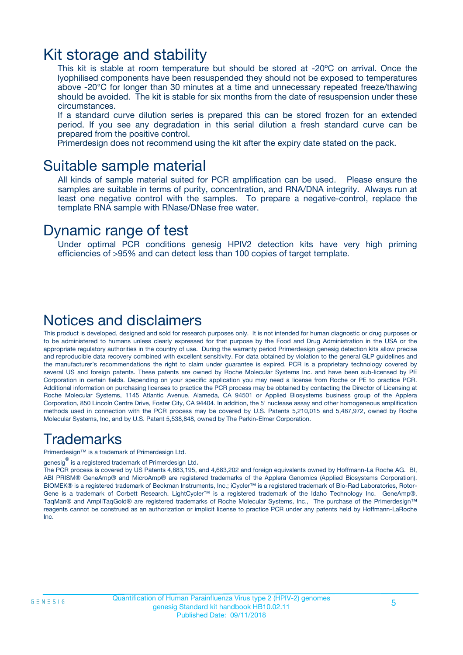### Kit storage and stability

This kit is stable at room temperature but should be stored at -20ºC on arrival. Once the lyophilised components have been resuspended they should not be exposed to temperatures above -20°C for longer than 30 minutes at a time and unnecessary repeated freeze/thawing should be avoided. The kit is stable for six months from the date of resuspension under these circumstances.

If a standard curve dilution series is prepared this can be stored frozen for an extended period. If you see any degradation in this serial dilution a fresh standard curve can be prepared from the positive control.

Primerdesign does not recommend using the kit after the expiry date stated on the pack.

### Suitable sample material

All kinds of sample material suited for PCR amplification can be used. Please ensure the samples are suitable in terms of purity, concentration, and RNA/DNA integrity. Always run at least one negative control with the samples. To prepare a negative-control, replace the template RNA sample with RNase/DNase free water.

### Dynamic range of test

Under optimal PCR conditions genesig HPIV2 detection kits have very high priming efficiencies of >95% and can detect less than 100 copies of target template.

### Notices and disclaimers

This product is developed, designed and sold for research purposes only. It is not intended for human diagnostic or drug purposes or to be administered to humans unless clearly expressed for that purpose by the Food and Drug Administration in the USA or the appropriate regulatory authorities in the country of use. During the warranty period Primerdesign genesig detection kits allow precise and reproducible data recovery combined with excellent sensitivity. For data obtained by violation to the general GLP guidelines and the manufacturer's recommendations the right to claim under guarantee is expired. PCR is a proprietary technology covered by several US and foreign patents. These patents are owned by Roche Molecular Systems Inc. and have been sub-licensed by PE Corporation in certain fields. Depending on your specific application you may need a license from Roche or PE to practice PCR. Additional information on purchasing licenses to practice the PCR process may be obtained by contacting the Director of Licensing at Roche Molecular Systems, 1145 Atlantic Avenue, Alameda, CA 94501 or Applied Biosystems business group of the Applera Corporation, 850 Lincoln Centre Drive, Foster City, CA 94404. In addition, the 5' nuclease assay and other homogeneous amplification methods used in connection with the PCR process may be covered by U.S. Patents 5,210,015 and 5,487,972, owned by Roche Molecular Systems, Inc, and by U.S. Patent 5,538,848, owned by The Perkin-Elmer Corporation.

### Trademarks

Primerdesign™ is a trademark of Primerdesign Ltd.

genesig $^\circledR$  is a registered trademark of Primerdesign Ltd.

The PCR process is covered by US Patents 4,683,195, and 4,683,202 and foreign equivalents owned by Hoffmann-La Roche AG. BI, ABI PRISM® GeneAmp® and MicroAmp® are registered trademarks of the Applera Genomics (Applied Biosystems Corporation). BIOMEK® is a registered trademark of Beckman Instruments, Inc.; iCycler™ is a registered trademark of Bio-Rad Laboratories, Rotor-Gene is a trademark of Corbett Research. LightCycler™ is a registered trademark of the Idaho Technology Inc. GeneAmp®, TaqMan® and AmpliTaqGold® are registered trademarks of Roche Molecular Systems, Inc., The purchase of the Primerdesign™ reagents cannot be construed as an authorization or implicit license to practice PCR under any patents held by Hoffmann-LaRoche Inc.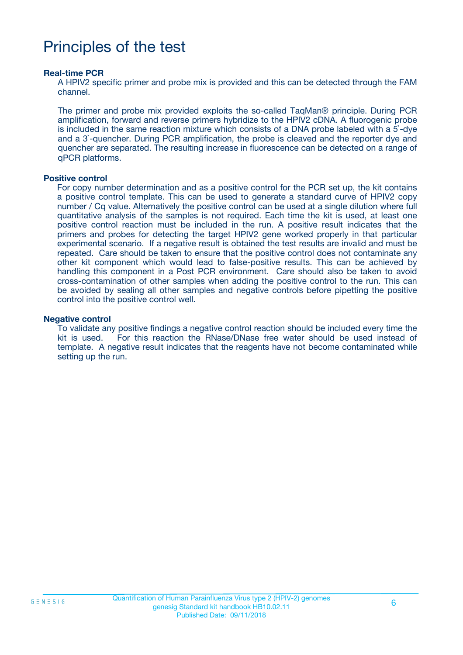## Principles of the test

#### **Real-time PCR**

A HPIV2 specific primer and probe mix is provided and this can be detected through the FAM channel.

The primer and probe mix provided exploits the so-called TaqMan® principle. During PCR amplification, forward and reverse primers hybridize to the HPIV2 cDNA. A fluorogenic probe is included in the same reaction mixture which consists of a DNA probe labeled with a 5`-dye and a 3`-quencher. During PCR amplification, the probe is cleaved and the reporter dye and quencher are separated. The resulting increase in fluorescence can be detected on a range of qPCR platforms.

#### **Positive control**

For copy number determination and as a positive control for the PCR set up, the kit contains a positive control template. This can be used to generate a standard curve of HPIV2 copy number / Cq value. Alternatively the positive control can be used at a single dilution where full quantitative analysis of the samples is not required. Each time the kit is used, at least one positive control reaction must be included in the run. A positive result indicates that the primers and probes for detecting the target HPIV2 gene worked properly in that particular experimental scenario. If a negative result is obtained the test results are invalid and must be repeated. Care should be taken to ensure that the positive control does not contaminate any other kit component which would lead to false-positive results. This can be achieved by handling this component in a Post PCR environment. Care should also be taken to avoid cross-contamination of other samples when adding the positive control to the run. This can be avoided by sealing all other samples and negative controls before pipetting the positive control into the positive control well.

#### **Negative control**

To validate any positive findings a negative control reaction should be included every time the kit is used. For this reaction the RNase/DNase free water should be used instead of template. A negative result indicates that the reagents have not become contaminated while setting up the run.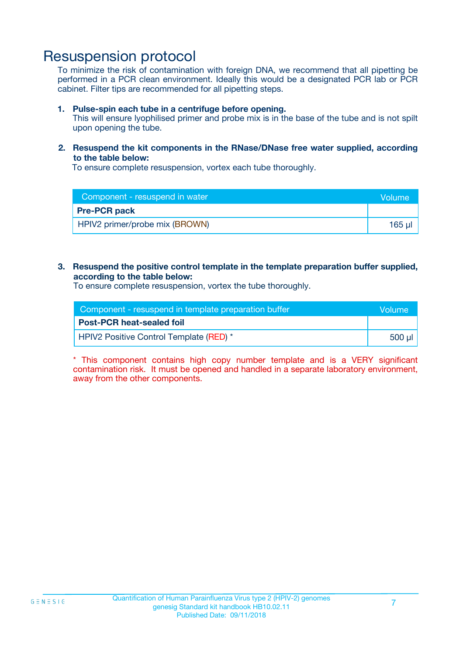### Resuspension protocol

To minimize the risk of contamination with foreign DNA, we recommend that all pipetting be performed in a PCR clean environment. Ideally this would be a designated PCR lab or PCR cabinet. Filter tips are recommended for all pipetting steps.

#### **1. Pulse-spin each tube in a centrifuge before opening.**

This will ensure lyophilised primer and probe mix is in the base of the tube and is not spilt upon opening the tube.

#### **2. Resuspend the kit components in the RNase/DNase free water supplied, according to the table below:**

To ensure complete resuspension, vortex each tube thoroughly.

| Component - resuspend in water |             |
|--------------------------------|-------------|
| <b>Pre-PCR pack</b>            |             |
| HPIV2 primer/probe mix (BROWN) | $165$ $\mu$ |

#### **3. Resuspend the positive control template in the template preparation buffer supplied, according to the table below:**

To ensure complete resuspension, vortex the tube thoroughly.

| Component - resuspend in template preparation buffer |          |  |
|------------------------------------------------------|----------|--|
| <b>Post-PCR heat-sealed foil</b>                     |          |  |
| HPIV2 Positive Control Template (RED) *              | ่ 500 µl |  |

\* This component contains high copy number template and is a VERY significant contamination risk. It must be opened and handled in a separate laboratory environment, away from the other components.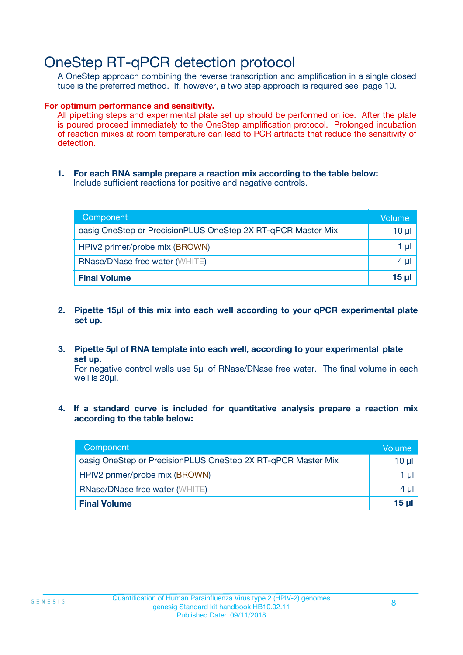### OneStep RT-qPCR detection protocol

A OneStep approach combining the reverse transcription and amplification in a single closed tube is the preferred method. If, however, a two step approach is required see page 10.

#### **For optimum performance and sensitivity.**

All pipetting steps and experimental plate set up should be performed on ice. After the plate is poured proceed immediately to the OneStep amplification protocol. Prolonged incubation of reaction mixes at room temperature can lead to PCR artifacts that reduce the sensitivity of detection.

**1. For each RNA sample prepare a reaction mix according to the table below:** Include sufficient reactions for positive and negative controls.

| Component                                                    | Volume   |
|--------------------------------------------------------------|----------|
| oasig OneStep or PrecisionPLUS OneStep 2X RT-qPCR Master Mix | $10 \mu$ |
| HPIV2 primer/probe mix (BROWN)                               | 1 µl     |
| <b>RNase/DNase free water (WHITE)</b>                        | $4 \mu$  |
| <b>Final Volume</b>                                          | $15$ µ   |

- **2. Pipette 15µl of this mix into each well according to your qPCR experimental plate set up.**
- **3. Pipette 5µl of RNA template into each well, according to your experimental plate set up.**

For negative control wells use 5µl of RNase/DNase free water. The final volume in each well is 20ul.

**4. If a standard curve is included for quantitative analysis prepare a reaction mix according to the table below:**

| Component                                                    | Volume       |
|--------------------------------------------------------------|--------------|
| oasig OneStep or PrecisionPLUS OneStep 2X RT-qPCR Master Mix | 10 µl        |
| HPIV2 primer/probe mix (BROWN)                               | 1 µl         |
| <b>RNase/DNase free water (WHITE)</b>                        | $4 \mu$      |
| <b>Final Volume</b>                                          | <u>15 ul</u> |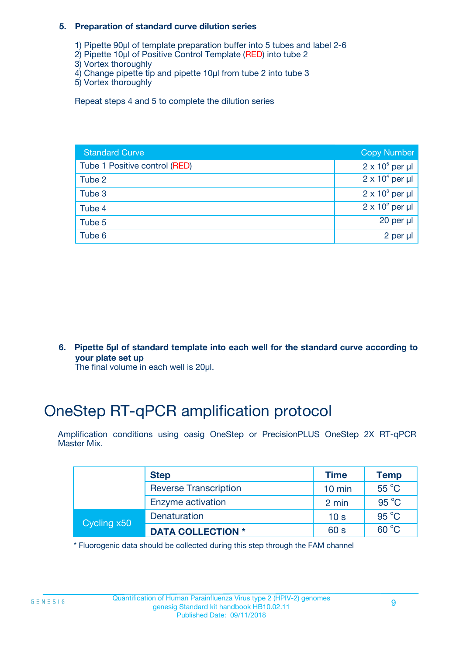#### **5. Preparation of standard curve dilution series**

- 1) Pipette 90µl of template preparation buffer into 5 tubes and label 2-6
- 2) Pipette 10µl of Positive Control Template (RED) into tube 2
- 3) Vortex thoroughly
- 4) Change pipette tip and pipette 10µl from tube 2 into tube 3
- 5) Vortex thoroughly

Repeat steps 4 and 5 to complete the dilution series

| <b>Standard Curve</b>         | <b>Copy Number</b>     |
|-------------------------------|------------------------|
| Tube 1 Positive control (RED) | $2 \times 10^5$ per µl |
| Tube 2                        | $2 \times 10^4$ per µl |
| Tube 3                        | $2 \times 10^3$ per µl |
| Tube 4                        | $2 \times 10^2$ per µl |
| Tube 5                        | 20 per $\mu$           |
| Tube 6                        | 2 per µl               |

**6. Pipette 5µl of standard template into each well for the standard curve according to your plate set up**

The final volume in each well is 20ul.

## OneStep RT-qPCR amplification protocol

Amplification conditions using oasig OneStep or PrecisionPLUS OneStep 2X RT-qPCR Master Mix.

|             | <b>Step</b>                  | <b>Time</b>      | <b>Temp</b>    |
|-------------|------------------------------|------------------|----------------|
|             | <b>Reverse Transcription</b> | $10 \text{ min}$ | 55 °C          |
|             | Enzyme activation            | 2 min            | $95^{\circ}$ C |
| Cycling x50 | Denaturation                 | 10 <sub>s</sub>  | $95^{\circ}$ C |
|             | <b>DATA COLLECTION *</b>     | 60 s             | $60^{\circ}$ C |

\* Fluorogenic data should be collected during this step through the FAM channel